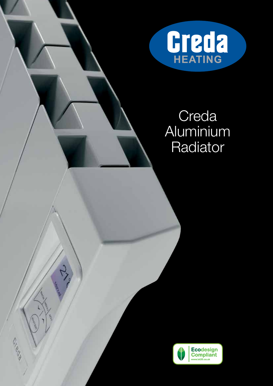

# Creda Aluminium Radiator



١

Deba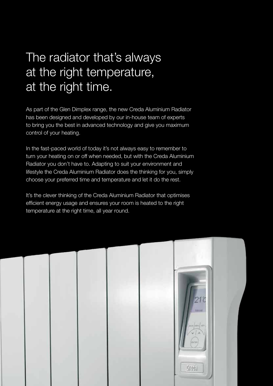# The radiator that's always at the right temperature, at the right time.

As part of the Glen Dimplex range, the new Creda Aluminium Radiator has been designed and developed by our in-house team of experts to bring you the best in advanced technology and give you maximum control of your heating.

In the fast-paced world of today it's not always easy to remember to turn your heating on or off when needed, but with the Creda Aluminium Radiator you don't have to. Adapting to suit your environment and lifestyle the Creda Aluminium Radiator does the thinking for you, simply choose your preferred time and temperature and let it do the rest.

It's the clever thinking of the Creda Aluminium Radiator that optimises efficient energy usage and ensures your room is heated to the right temperature at the right time, all year round.

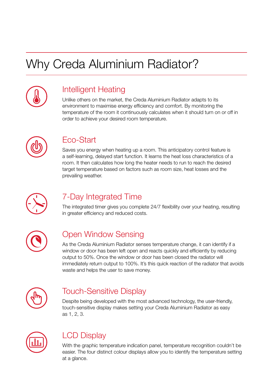# Why Creda Aluminium Radiator?



## Intelligent Heating

Unlike others on the market, the Creda Aluminium Radiator adapts to its environment to maximise energy efficiency and comfort. By monitoring the temperature of the room it continuously calculates when it should turn on or off in order to achieve your desired room temperature.



## Eco-Start

Saves you energy when heating up a room. This anticipatory control feature is a self-learning, delayed start function. It learns the heat loss characteristics of a room. It then calculates how long the heater needs to run to reach the desired target temperature based on factors such as room size, heat losses and the prevailing weather.



## 7-Day Integrated Time

The integrated timer gives you complete 24/7 flexibility over your heating, resulting in greater efficiency and reduced costs.



## Open Window Sensing

As the Creda Aluminium Radiator senses temperature change, it can identify if a window or door has been left open and reacts quickly and efficiently by reducing output to 50%. Once the window or door has been closed the radiator will immediately return output to 100%. It's this quick reaction of the radiator that avoids waste and helps the user to save money.



## Touch-Sensitive Display

Despite being developed with the most advanced technology, the user-friendly, touch-sensitive display makes setting your Creda Aluminium Radiator as easy as 1, 2, 3.



## LCD Display

With the graphic temperature indication panel, temperature recognition couldn't be easier. The four distinct colour displays allow you to identify the temperature setting at a glance.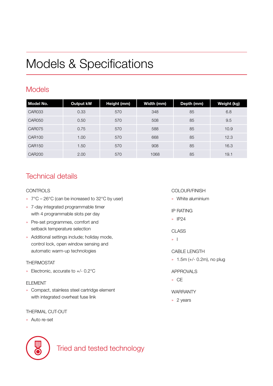# Models & Specifications

## Models

| Model No.     | <b>Output kW</b> | Height (mm) | Width (mm) | Depth (mm) | Weight (kg) |
|---------------|------------------|-------------|------------|------------|-------------|
| <b>CAR033</b> | 0.33             | 570         | 348        | 85         | 6.8         |
| <b>CAR050</b> | 0.50             | 570         | 508        | 85         | 9.5         |
| CAR075        | 0.75             | 570         | 588        | 85         | 10.9        |
| <b>CAR100</b> | 1.00             | 570         | 668        | 85         | 12.3        |
| <b>CAR150</b> | 1.50             | 570         | 908        | 85         | 16.3        |
| <b>CAR200</b> | 2.00             | 570         | 1068       | 85         | 19.1        |

## Technical details

### CONTROLS

- » 7°C 26°C (can be increased to 32°C by user)
- » 7-day integrated programmable timer with 4 programmable slots per day
- » Pre-set programmes, comfort and setback temperature selection
- » Additional settings include; holiday mode, control lock, open window sensing and automatic warm-up technologies

### THERMOSTAT

» Electronic, accurate to +/- 0.2°C

#### ELEMENT

» Compact, stainless steel cartridge element with integrated overheat fuse link

### THERMAL CUT-OUT

» Auto re-set



Tried and tested technology

### COLOUR/FINISH

- » White aluminium
- IP RATING
- » IP24

#### **CLASS**

» I

CABLE LENGTH

» 1.5m (+/- 0.2m), no plug

### APPROVALS

» CE

### WARRANTY

» 2 years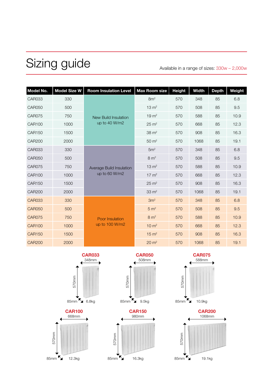# Sizing guide

Available in a range of sizes: 330w – 2,000w

| Model No.     | <b>Model Size W</b> | <b>Room Insulation Level</b>              | <b>Max Room size</b> | <b>Height</b> | <b>Width</b> | <b>Depth</b> | Weight |
|---------------|---------------------|-------------------------------------------|----------------------|---------------|--------------|--------------|--------|
| <b>CAR033</b> | 330                 | New Build Insulation<br>up to 40 W/m2     | 8m <sup>2</sup>      | 570           | 348          | 85           | 6.8    |
| <b>CAR050</b> | 500                 |                                           | $13 \text{ m}^2$     | 570           | 508          | 85           | 9.5    |
| <b>CAR075</b> | 750                 |                                           | $19 \text{ m}^2$     | 570           | 588          | 85           | 10.9   |
| <b>CAR100</b> | 1000                |                                           | $25 \text{ m}^2$     | 570           | 668          | 85           | 12.3   |
| <b>CAR150</b> | 1500                |                                           | $38 \text{ m}^2$     | 570           | 908          | 85           | 16.3   |
| <b>CAR200</b> | 2000                |                                           | $50 \text{ m}^2$     | 570           | 1068         | 85           | 19.1   |
| <b>CAR033</b> | 330                 | Average Build Insulation<br>up to 60 W/m2 | 5m <sup>2</sup>      | 570           | 348          | 85           | 6.8    |
| <b>CAR050</b> | 500                 |                                           | $8 \text{ m}^2$      | 570           | 508          | 85           | 9.5    |
| <b>CAR075</b> | 750                 |                                           | $13 \text{ m}^2$     | 570           | 588          | 85           | 10.9   |
| <b>CAR100</b> | 1000                |                                           | $17 \text{ m}^2$     | 570           | 668          | 85           | 12.3   |
| <b>CAR150</b> | 1500                |                                           | $25 \text{ m}^2$     | 570           | 908          | 85           | 16.3   |
| <b>CAR200</b> | 2000                |                                           | $33 \text{ m}^2$     | 570           | 1068         | 85           | 19.1   |
| <b>CAR033</b> | 330                 | Poor Insulation<br>up to 100 W/m2         | 3m <sup>2</sup>      | 570           | 348          | 85           | 6.8    |
| <b>CAR050</b> | 500                 |                                           | 5 m <sup>2</sup>     | 570           | 508          | 85           | 9.5    |
| <b>CAR075</b> | 750                 |                                           | $8 \text{ m}^2$      | 570           | 588          | 85           | 10.9   |
| <b>CAR100</b> | 1000                |                                           | $10 \text{ m}^2$     | 570           | 668          | 85           | 12.3   |
| <b>CAR150</b> | 1500                |                                           | $15 \text{ m}^2$     | 570           | 908          | 85           | 16.3   |
| <b>CAR200</b> | 2000                |                                           | $20 \text{ m}^2$     | 570           | 1068         | 85           | 19.1   |









**CAR150** 980mm